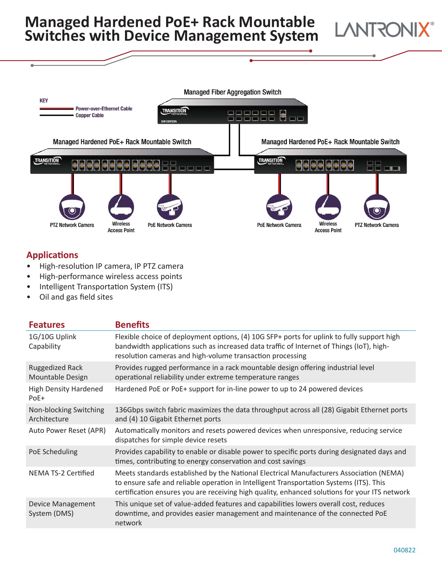## **Managed Hardened PoE+ Rack Mountable Switches with Device Management System**



## **Applications**

- High-resolution IP camera, IP PTZ camera
- High-performance wireless access points
- Intelligent Transportation System (ITS)
- Oil and gas field sites

| <b>Features</b>                            | <b>Benefits</b>                                                                                                                                                                                                                                                                     |
|--------------------------------------------|-------------------------------------------------------------------------------------------------------------------------------------------------------------------------------------------------------------------------------------------------------------------------------------|
| 1G/10G Uplink<br>Capability                | Flexible choice of deployment options, (4) 10G SFP+ ports for uplink to fully support high<br>bandwidth applications such as increased data traffic of Internet of Things (IoT), high-<br>resolution cameras and high-volume transaction processing                                 |
| <b>Ruggedized Rack</b><br>Mountable Design | Provides rugged performance in a rack mountable design offering industrial level<br>operational reliability under extreme temperature ranges                                                                                                                                        |
| <b>High Density Hardened</b><br>PoE+       | Hardened PoE or PoE+ support for in-line power to up to 24 powered devices                                                                                                                                                                                                          |
| Non-blocking Switching<br>Architecture     | 136Gbps switch fabric maximizes the data throughput across all (28) Gigabit Ethernet ports<br>and (4) 10 Gigabit Ethernet ports                                                                                                                                                     |
| Auto Power Reset (APR)                     | Automatically monitors and resets powered devices when unresponsive, reducing service<br>dispatches for simple device resets                                                                                                                                                        |
| PoE Scheduling                             | Provides capability to enable or disable power to specific ports during designated days and<br>times, contributing to energy conservation and cost savings                                                                                                                          |
| NEMA TS-2 Certified                        | Meets standards established by the National Electrical Manufacturers Association (NEMA)<br>to ensure safe and reliable operation in Intelligent Transportation Systems (ITS). This<br>certification ensures you are receiving high quality, enhanced solutions for your ITS network |
| <b>Device Management</b><br>System (DMS)   | This unique set of value-added features and capabilities lowers overall cost, reduces<br>downtime, and provides easier management and maintenance of the connected PoE<br>network                                                                                                   |

**LANTRONI**